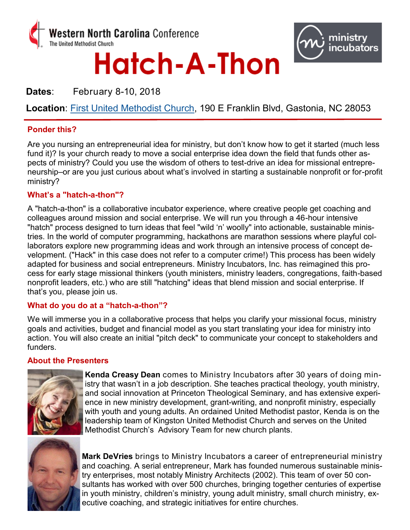

# Hatch-A-Thon



**Dates**: February 8-10, 2018

**Location**: [First United Methodist Church,](https://www.google.com/maps/place/First+United+Methodist+Church-Gstn/@35.2627913,-81.1827105,17z/data=!3m1!4b1!4m5!3m4!1s0x8856c0147d61259d:0xb92322d3a5b1a336!8m2!3d35.2627913!4d-81.1805218) 190 E Franklin Blvd, Gastonia, NC 28053

## **Ponder this?**

Are you nursing an entrepreneurial idea for ministry, but don't know how to get it started (much less fund it)? Is your church ready to move a social enterprise idea down the field that funds other aspects of ministry? Could you use the wisdom of others to test-drive an idea for missional entrepreneurship–or are you just curious about what's involved in starting a sustainable nonprofit or for-profit ministry?

## **What's a "hatch-a-thon"?**

A "hatch-a-thon" is a collaborative incubator experience, where creative people get coaching and colleagues around mission and social enterprise. We will run you through a 46-hour intensive "hatch" process designed to turn ideas that feel "wild 'n' woolly" into actionable, sustainable ministries. In the world of computer programming, hackathons are marathon sessions where playful collaborators explore new programming ideas and work through an intensive process of concept development. ("Hack" in this case does not refer to a computer crime!) This process has been widely adapted for business and social entrepreneurs. Ministry Incubators, Inc. has reimagined this process for early stage missional thinkers (youth ministers, ministry leaders, congregations, faith-based nonprofit leaders, etc.) who are still "hatching" ideas that blend mission and social enterprise. If that's you, please join us.

## **What do you do at a "hatch-a-thon"?**

We will immerse you in a collaborative process that helps you clarify your missional focus, ministry goals and activities, budget and financial model as you start translating your idea for ministry into action. You will also create an initial "pitch deck" to communicate your concept to stakeholders and funders.

## **About the Presenters**



**Kenda Creasy Dean** comes to Ministry Incubators after 30 years of doing ministry that wasn't in a job description. She teaches practical theology, youth ministry, and social innovation at Princeton Theological Seminary, and has extensive experience in new ministry development, grant-writing, and nonprofit ministry, especially with youth and young adults. An ordained United Methodist pastor, Kenda is on the leadership team of Kingston United Methodist Church and serves on the United Methodist Church's Advisory Team for new church plants.



**Mark DeVries** brings to Ministry Incubators a career of entrepreneurial ministry and coaching. A serial entrepreneur, Mark has founded numerous sustainable ministry enterprises, most notably Ministry Architects (2002). This team of over 50 consultants has worked with over 500 churches, bringing together centuries of expertise in youth ministry, children's ministry, young adult ministry, small church ministry, executive coaching, and strategic initiatives for entire churches.